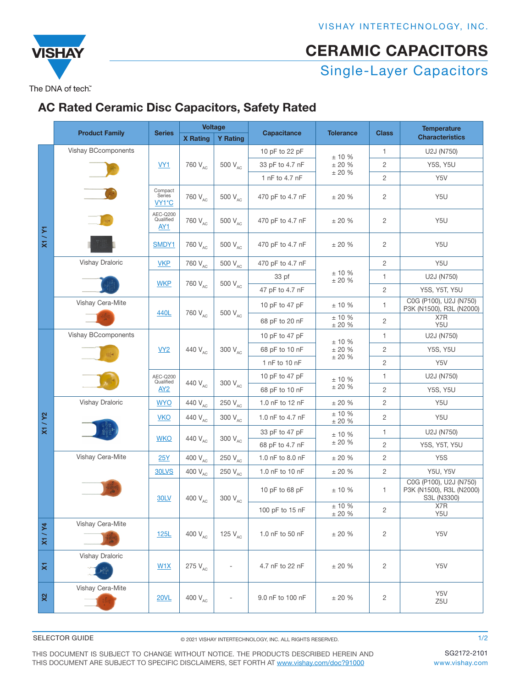# Single-Layer Capacitors CERAMIC CAPACITORS

The DNA of tech"

**VISHA** 

### [AC Rated Ce](http://www.vishay.com)ramic Disc Capacitors, Safety Rated

|                    | <b>Product Family</b>      | <b>Series</b>                            | <b>Voltage</b>                   |                              |                         |                                   |                | <b>Temperature</b>                                                |
|--------------------|----------------------------|------------------------------------------|----------------------------------|------------------------------|-------------------------|-----------------------------------|----------------|-------------------------------------------------------------------|
|                    |                            |                                          | <b>X</b> Rating                  | <b>Y Rating</b>              | <b>Capacitance</b>      | <b>Tolerance</b>                  | <b>Class</b>   | <b>Characteristics</b>                                            |
| X1/Y1              | <b>Vishay BCcomponents</b> | VY1                                      | 760 V <sub>AC</sub>              | 500 V <sub>AC</sub>          | 10 pF to 22 pF          | ± 10%<br>$\pm$ 20 %<br>$\pm$ 20 % | $\mathbf{1}$   | U2J (N750)                                                        |
|                    |                            |                                          |                                  |                              | 33 pF to 4.7 nF         |                                   | $\overline{c}$ | <b>Y5S, Y5U</b>                                                   |
|                    |                            |                                          |                                  |                              | 1 nF to 4.7 nF          |                                   | $\overline{c}$ | Y5V                                                               |
|                    |                            | Compact<br>Series<br>VY1*C               | 760 V <sub>AC</sub>              | 500 V <sub>AC</sub>          | 470 pF to 4.7 nF        | $\pm$ 20 $\%$                     | 2              | Y5U                                                               |
|                    |                            | AEC-Q200<br>Qualified<br>AY1             | 760 V <sub>AC</sub>              | 500 V <sub>AC</sub>          | 470 pF to 4.7 nF        | ± 20%                             | 2              | Y5U                                                               |
|                    |                            | SMDY1                                    | 760 V <sub>AC</sub>              | 500 V <sub>AC</sub>          | 470 pF to 4.7 nF        | ± 20%                             | 2              | Y5U                                                               |
|                    | Vishay Draloric            | <b>VKP</b>                               | 760 V <sub>AC</sub>              | 500 V <sub>AC</sub>          | 470 pF to 4.7 nF        |                                   | $\overline{2}$ | Y5U                                                               |
|                    |                            |                                          | 760 V <sub>AC</sub>              | 500 V <sub>AC</sub>          | 33 pf                   | $± 10 \%$<br>$\pm$ 20 %           | $\mathbf{1}$   | U2J (N750)                                                        |
|                    |                            | <b>WKP</b>                               |                                  |                              | 47 pF to 4.7 nF         |                                   | $\overline{c}$ | Y5S, Y5T, Y5U                                                     |
|                    | Vishay Cera-Mite           | 440L                                     | 760 V <sub>AC</sub>              | 500 V <sub>AC</sub>          | 10 pF to 47 pF          | $± 10 \%$                         | 1              | C0G (P100), U2J (N750)<br>P3K (N1500), R3L (N2000)                |
|                    |                            |                                          |                                  |                              | 68 pF to 20 nF          | $\pm$ 10 %<br>$\pm$ 20 %          | $\overline{c}$ | X7R<br>Y5U                                                        |
|                    | <b>Vishay BCcomponents</b> | VY2                                      | 440 V <sub>AC</sub>              | 300 V <sub>AC</sub>          | 10 pF to 47 pF          | $± 10 \%$<br>± 20%<br>± 20%       | $\mathbf{1}$   | U2J (N750)                                                        |
|                    |                            |                                          |                                  |                              | 68 pF to 10 nF          |                                   | $\overline{c}$ | <b>Y5S, Y5U</b>                                                   |
|                    |                            |                                          |                                  |                              | 1 nF to 10 nF           |                                   | $\sqrt{2}$     | Y5V                                                               |
|                    |                            | AEC-Q200<br>Qualified<br>AY <sub>2</sub> | 440 V <sub>AC</sub>              | 300 V <sub>AC</sub>          | 10 pF to 47 pF          | $± 10 \%$<br>± 20%                | $\mathbf{1}$   | U2J (N750)                                                        |
|                    |                            |                                          |                                  |                              | 68 pF to 10 nF          |                                   | $\overline{c}$ | <b>Y5S, Y5U</b>                                                   |
|                    | Vishay Draloric            | <b>WYO</b>                               | 440 V <sub>AC</sub>              | 250 V <sub>AC</sub>          | 1.0 nF to 12 nF         | ± 20%                             | $\overline{c}$ | Y5U                                                               |
| X1/Y2              |                            | <b>VKO</b>                               | 440 V <sub>AC</sub>              | 300 V <sub>AC</sub>          | 1.0 nF to 4.7 nF        | ± 10%<br>$\pm$ 20 %               | $\overline{c}$ | Y5U                                                               |
|                    |                            | <b>WKO</b>                               | 440 V <sub>AC</sub>              | 300 V <sub>AC</sub>          | 33 pF to 47 pF          | $± 10 \%$                         | $\mathbf{1}$   | U2J (N750)                                                        |
|                    |                            |                                          |                                  |                              | 68 pF to 4.7 nF         | $\pm$ 20 %                        | $\overline{c}$ | Y5S, Y5T, Y5U                                                     |
|                    | Vishay Cera-Mite           | <b>25Y</b>                               | 400 $\rm V_{\rm AC}$             | 250 $V_{AC}$                 | 1.0 nF to 8.0 nF        | ± 20%                             | $\overline{c}$ | Y <sub>5</sub> S                                                  |
|                    |                            | 30LVS                                    | 400 V <sub>AC</sub>              | 250 V <sub>AC</sub>          | 1.0 nF to 10 nF         | ± 20%                             | $\overline{c}$ | <b>Y5U, Y5V</b>                                                   |
|                    | <b>30LV</b>                |                                          | 400 $\text{V}_{\text{\tiny AC}}$ | $300\ \rm V_{AC}$            | 10 pF to 68 pF          | ± 10%                             | 1              | C0G (P100), U2J (N750)<br>P3K (N1500), R3L (N2000)<br>S3L (N3300) |
|                    |                            |                                          |                                  | 100 pF to 15 nF              | $± 10 \%$<br>$\pm$ 20 % | $\sqrt{2}$                        | X7R<br>Y5U     |                                                                   |
| X1/Y4              | Vishay Cera-Mite           | 125L                                     | 400 V <sub>AC</sub>              | 125 $V_{AC}$                 | 1.0 nF to 50 nF         | ± 20%                             | $\overline{c}$ | Y5V                                                               |
| $\bar{\mathbf{x}}$ | Vishay Draloric            | W1X                                      | 275 V <sub>AC</sub>              | $\qquad \qquad \blacksquare$ | 4.7 nF to 22 nF         | ± 20%                             | 2              | Y5V                                                               |
| $x^2$              | Vishay Cera-Mite           | <b>20VL</b>                              | 400 $V_{AC}$                     | $\overline{\phantom{a}}$     | 9.0 nF to 100 nF        | ± 20%                             | $\overline{c}$ | Y5V<br>Z5U                                                        |

#### SELECTOR GUIDE

© 2021 VISHAY INTERTECHNOLOGY, INC. ALL RIGHTS RESERVED.

THIS DOCUMENT IS SUBJECT TO CHANGE WITHOUT NOTICE. THE PRODUCTS DESCRIBED HEREIN AND THIS DOCUMENT ARE SUBJECT TO SPECIFIC DISCLAIMERS, SET FORTH AT [www.vishay.com/doc?91000](http://www.vishay.com/doc?91000)